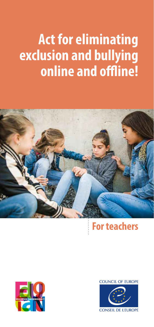# **Act for eliminating exclusion and bullying online and offline!**



## **For teachers**



**COUNCIL OF EUROPE** 

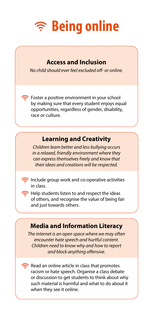

#### **Access and Inclusion**

*No child should ever feel excluded off- or online.*

Foster a positive environment in your school by making sure that every student enjoys equal opportunities, regardless of gender, disability, race or culture.

### **Learning and Creativity**

*Children learn better and less bullying occurs in a relaxed, friendly environment where they can express themselves freely and know that their ideas and creations will be respected.*

 $\widehat{\mathbb{R}}$  Include group work and co-operative activities in class.



j

Help students listen to and respect the ideas of others, and recognise the value of being fair and just towards others.

### **Media and Information Literacy**

*The internet is an open space where we may often encounter hate speech and hurtful content. Children need to know why and how to report and block anything offensive.*

Read an online article in class that promotes racism or hate speech. Organise a class debate or discussion to get students to think about why such material is harmful and what to do about it when they see it online.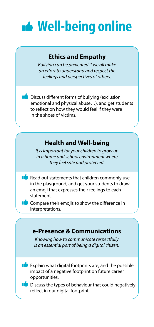

#### **Ethics and Empathy**

*Bullying can be prevented if we all make an effort to understand and respect the feelings and perspectives of others.*

**Discuss different forms of bullying (exclusion,** emotional and physical abuse…), and get students to reflect on how they would feel if they were in the shoes of victims.

### **Health and Well-being**

*It is important for your children to grow up in a home and school environment where they feel safe and protected.* 

Read out statements that children commonly use in the playground, and get your students to draw an emoji that expresses their feelings to each statement.



j

j

Ī

 Compare their emojis to show the difference in interpretations.

#### **e-Presence & Communications**

*Knowing how to communicate respectfully is an essential part of being a digital citizen.*



 $\blacksquare$  Discuss the types of behaviour that could negatively reflect in our digital footprint.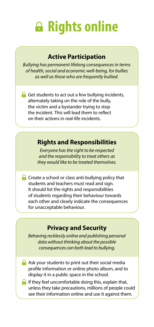# **Rights online**

#### **Active Participation**

j

j

*Bullying has permanent lifelong consequences in terms of health, social and economic well-being, for bullies as well as those who are frequently bullied.* 

Get students to act out a few bullying incidents, alternately taking on the role of the bully, the victim and a bystander trying to stop the incident. This will lead them to reflect on their actions in real-life incidents.

#### **Rights and Responsibilities**

*Everyone has the right to be respected and the responsibility to treat others as they would like to be treated themselves.* 

**C** Create a school or class anti-bullying policy that students and teachers must read and sign. It should list the rights and responsibilities of students regarding their behaviour towards each other and clearly indicate the consequences for unacceptable behaviour.

### **Privacy and Security**

*Behaving recklessly online and publishing personal data without thinking about the possible consequences can both lead to bullying.*

- A Ask your students to print out their social media profile information or online photo album, and to display it in a public space in the school.
- $\Box$  If they feel uncomfortable doing this, explain that, unless they take precautions, millions of people could see their information online and use it against them.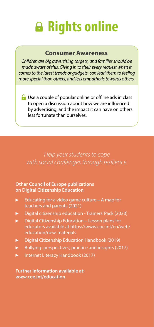# **Rights online**

#### **Consumer Awareness**

*Children are big advertising targets, and families should be made aware of this. Giving in to their every request when it comes to the latest trends or gadgets, can lead them to feeling more special than others, and less empathetic towards others.*

Use a couple of popular online or offline ads in class to open a discussion about how we are influenced by advertising, and the impact it can have on others less fortunate than ourselves.

*Help your students to cope with social challenges through resilience.*

#### **Other Council of Europe publications on Digital Citizenship Education**

- [Educating for a video game culture A map for](https://rm.coe.int/educating-for-a-video-game-culture-a-map-for-teachers-and-parents/1680a28f24)  Ы [teachers and parents \(2021\)](https://rm.coe.int/educating-for-a-video-game-culture-a-map-for-teachers-and-parents/1680a28f24)
- [Digital citizenship education Trainers' Pack \(2020\)](https://rm.coe.int/digital-citizenship-education-trainers-pack/16809efd12)
- ь Digital Citizenship Education – Lesson plans for educators available a[t https://www.coe.int/en/web/](https://www.coe.int/en/web/education/new-materials) [education/new-materials](https://www.coe.int/en/web/education/new-materials)
- [Digital Citizenship Education Handbook \(2019\)](https://rm.coe.int/168093586f)
- [Bullying: perspectives, practice and insights](https://rm.coe.int/090000168078a78d) (2017)
- [Internet Literacy Handbook \(2017\)](https://rm.coe.int/internet-literacy-handbook/1680766c85) ь

**Further information available at: [www.coe.int/education](http://www.coe.int/education)**